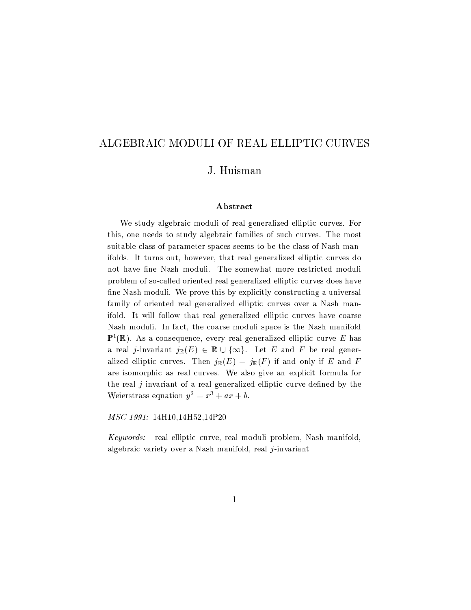# ALGEBRAIC MODULI OF REAL ELLIPTIC CURVES

# J. Huisman

### Abstract

We study algebraic moduli of real generalized elliptic curves. For this, one needs to study algebraic families of such curves. The most suitable class of parameter spaces seems to be the class of Nash manifolds. It turns out, however, that real generalized elliptic curves do not have fine Nash moduli. The somewhat more restricted moduli problem of so-called oriented real generalized elliptic curves does have fine Nash moduli. We prove this by explicitly constructing a universal family of oriented real generalized elliptic curves over a Nash manifold. It will follow that real generalized elliptic curves have coarse Nash moduli. In fact, the coarse moduli space is the Nash manifold  $\mathbb{P}^1(\mathbb{R})$ . As a consequence, every real generalized elliptic curve E has a real j-invariant  $j_{\mathbb{R}}(E) \in \mathbb{R} \cup \{\infty\}$ . Let E and F be real generalized elliptic curves. Then  $j_{\mathbb{R}}(E) = j_{\mathbb{R}}(F)$  if and only if E and F are isomorphic as real curves. We also give an explicit formula for the real j-invariant of a real generalized elliptic curve defined by the Weierstrass equation  $y^2 = x^3 + ax + b$ .

MSC 1991: 14H10,14H52,14P20

*Keywords:* real elliptic curve, real moduli problem, Nash manifold, algebraic variety over a Nash manifold, real  $j$ -invariant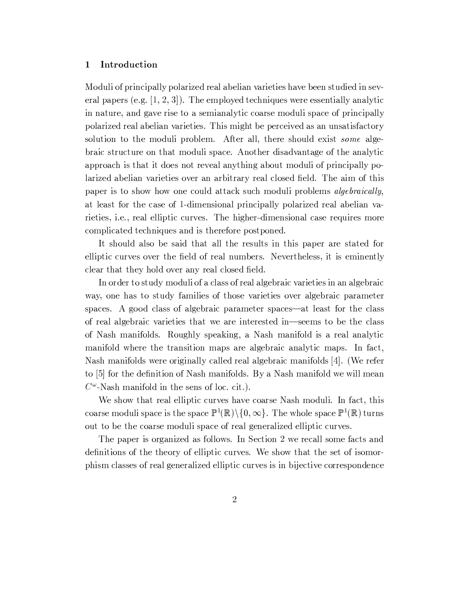#### Introduction  $\mathbf 1$

Moduli of principally polarized real abelian varieties have been studied in several papers (e.g.  $[1, 2, 3]$ ). The employed techniques were essentially analytic in nature, and gave rise to a semianalytic coarse moduli space of principally polarized real abelian varieties. This might be perceived as an unsatisfactory solution to the moduli problem. After all, there should exist some algebraic structure on that moduli space. Another disadvantage of the analytic approach is that it does not reveal anything about moduli of principally polarized abelian varieties over an arbitrary real closed field. The aim of this paper is to show how one could attack such moduli problems *algebraically*, at least for the case of 1-dimensional principally polarized real abelian varieties, *i.e.*, real elliptic curves. The higher-dimensional case requires more complicated techniques and is therefore postponed.

It should also be said that all the results in this paper are stated for elliptic curves over the field of real numbers. Nevertheless, it is eminently clear that they hold over any real closed field.

In order to study moduli of a class of real algebraic varieties in an algebraic way, one has to study families of those varieties over algebraic parameter spaces. A good class of algebraic parameter spaces—at least for the class of real algebraic varieties that we are interested in—seems to be the class of Nash manifolds. Roughly speaking, a Nash manifold is a real analytic manifold where the transition maps are algebraic analytic maps. In fact, Nash manifolds were originally called real algebraic manifolds [4]. (We refer to [5] for the definition of Nash manifolds. By a Nash manifold we will mean  $C^{\omega}$ -Nash manifold in the sens of loc. cit.).

We show that real elliptic curves have coarse Nash moduli. In fact, this coarse moduli space is the space  $\mathbb{P}^1(\mathbb{R})\backslash\{0,\infty\}$ . The whole space  $\mathbb{P}^1(\mathbb{R})$  turns out to be the coarse moduli space of real generalized elliptic curves.

The paper is organized as follows. In Section 2 we recall some facts and definitions of the theory of elliptic curves. We show that the set of isomorphism classes of real generalized elliptic curves is in bijective correspondence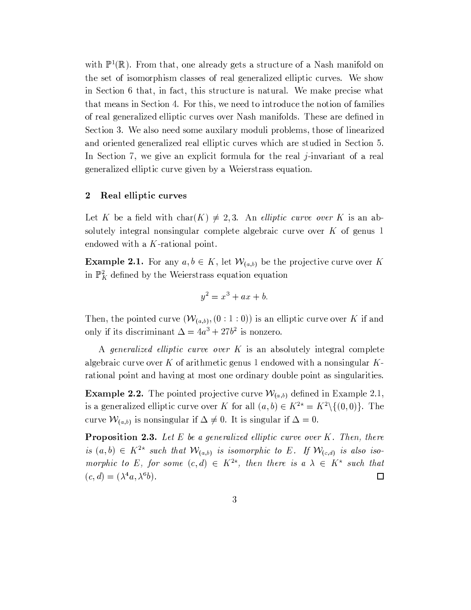with  $\mathbb{P}^1(\mathbb{R})$ . From that, one already gets a structure of a Nash manifold on the set of isomorphism classes of real generalized elliptic curves. We show in Section 6 that, in fact, this structure is natural. We make precise what that means in Section 4. For this, we need to introduce the notion of families of real generalized elliptic curves over Nash manifolds. These are defined in Section 3. We also need some auxilary moduli problems, those of linearized and oriented generalized real elliptic curves which are studied in Section 5. In Section 7, we give an explicit formula for the real  $j$ -invariant of a real generalized elliptic curve given by a Weierstrass equation.

#### $\overline{2}$ Real elliptic curves

Let K be a field with char(K)  $\neq$  2,3. An *elliptic curve over* K is an absolutely integral nonsingular complete algebraic curve over  $K$  of genus 1 endowed with a  $K$ -rational point.

**Example 2.1.** For any  $a, b \in K$ , let  $\mathcal{W}_{(a,b)}$  be the projective curve over K in  $\mathbb{P}^2$  defined by the Weierstrass equation equation

$$
y^2 = x^3 + ax + b
$$

Then, the pointed curve  $(W_{(a,b)}, (0:1:0))$  is an elliptic curve over K if and only if its discriminant  $\Delta = 4a^3 + 27b^2$  is nonzero.

A generalized elliptic curve over K is an absolutely integral complete algebraic curve over K of arithmetic genus 1 endowed with a nonsingular  $K$ rational point and having at most one ordinary double point as singularities.

**Example 2.2.** The pointed projective curve  $W_{(a,b)}$  defined in Example 2.1, is a generalized elliptic curve over K for all  $(a, b) \in K^{2*} = K^2 \setminus \{(0, 0)\}.$  The curve  $W_{(a,b)}$  is nonsingular if  $\Delta \neq 0$ . It is singular if  $\Delta = 0$ .

**Proposition 2.3.** Let  $E$  be a generalized elliptic curve over  $K$ . Then, there is  $(a, b) \in K^{2*}$  such that  $\mathcal{W}_{(a,b)}$  is isomorphic to E. If  $\mathcal{W}_{(c,d)}$  is also isomorphic to E, for some  $(c,d) \in K^{2*}$ , then there is  $a \lambda \in K^*$  such that  $(c,d) = (\lambda^4 a, \lambda^6 b).$  $\Box$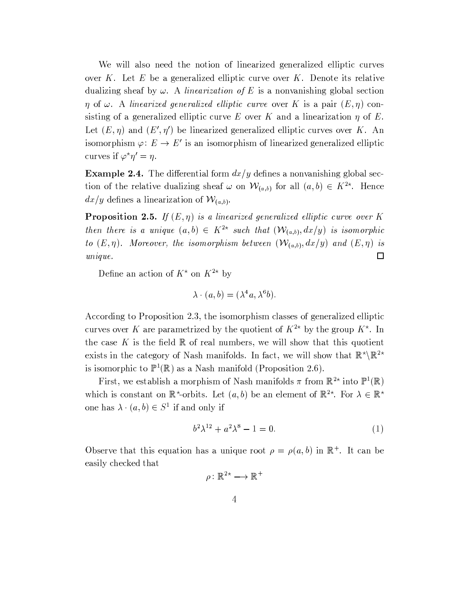We will also need the notion of linearized generalized elliptic curves over  $K$ . Let  $E$  be a generalized elliptic curve over  $K$ . Denote its relative dualizing sheaf by  $\omega$ . A *linearization of E* is a nonvanishing global section  $\eta$  of  $\omega$ . A linearized generalized elliptic curve over K is a pair  $(E, \eta)$  consisting of a generalized elliptic curve E over K and a linearization  $\eta$  of E. Let  $(E, \eta)$  and  $(E', \eta')$  be linearized generalized elliptic curves over K. An isomorphism  $\varphi: E \to E'$  is an isomorphism of linearized generalized elliptic curves if  $\varphi^* \eta' = \eta$ .

**Example 2.4.** The differential form  $dx/y$  defines a nonvanishing global section of the relative dualizing sheaf  $\omega$  on  $\mathcal{W}_{(a,b)}$  for all  $(a,b) \in K^{2*}$ . Hence  $dx/y$  defines a linearization of  $\mathcal{W}_{(a,b)}$ .

**Proposition 2.5.** If  $(E, \eta)$  is a linearized generalized elliptic curve over K then there is a unique  $(a,b) \in K^{2*}$  such that  $(\mathcal{W}_{(a,b)},dx/y)$  is isomorphic to  $(E, \eta)$ . Moreover, the isomorphism between  $(\mathcal{W}_{(a,b)}, dx/y)$  and  $(E, \eta)$  is  $unique.$  $\Box$ 

Define an action of  $K^*$  on  $K^{2*}$  by

$$
\lambda \cdot (a, b) = (\lambda^4 a, \lambda^6 b).
$$

According to Proposition 2.3, the isomorphism classes of generalized elliptic curves over K are parametrized by the quotient of  $K^{2*}$  by the group  $K^*$ . In the case K is the field  $\mathbb R$  of real numbers, we will show that this quotient exists in the category of Nash manifolds. In fact, we will show that  $\mathbb{R}^{\ast} \backslash \mathbb{R}^{2\ast}$ is isomorphic to  $\mathbb{P}^1(\mathbb{R})$  as a Nash manifold (Proposition 2.6).

First, we establish a morphism of Nash manifolds  $\pi$  from  $\mathbb{R}^{2*}$  into  $\mathbb{P}^1(\mathbb{R})$ which is constant on  $\mathbb{R}^*$ -orbits. Let  $(a, b)$  be an element of  $\mathbb{R}^{2*}$ . For  $\lambda \in \mathbb{R}^*$ one has  $\lambda \cdot (a, b) \in S^1$  if and only if

$$
b^2 \lambda^{12} + a^2 \lambda^8 - 1 = 0. \tag{1}
$$

Observe that this equation has a unique root  $\rho = \rho(a, b)$  in  $\mathbb{R}^+$ . It can be easily checked that

$$
\rho\colon \mathbb{R}^{2\star}\longrightarrow \mathbb{R}^+
$$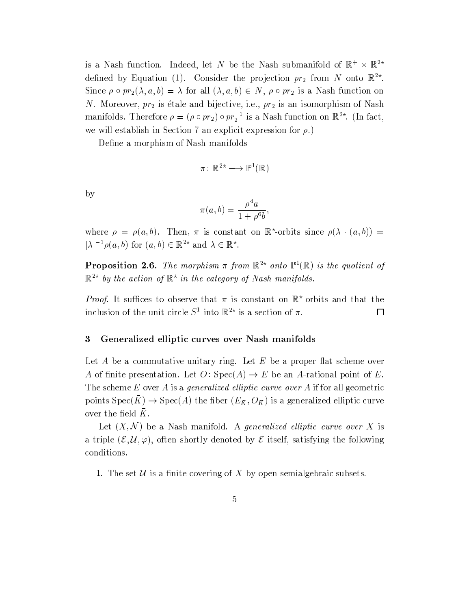is a Nash function. Indeed, let N be the Nash submanifold of  $\mathbb{R}^+ \times \mathbb{R}^{2*}$ defined by Equation (1). Consider the projection  $pr_2$  from N onto  $\mathbb{R}^{2*}$ . Since  $\rho \circ pr_2(\lambda, a, b) = \lambda$  for all  $(\lambda, a, b) \in N$ ,  $\rho \circ pr_2$  is a Nash function on N. Moreover,  $pr_2$  is étale and bijective, i.e.,  $pr_2$  is an isomorphism of Nash manifolds. Therefore  $\rho = (\rho \circ pr_2) \circ pr_2^{-1}$  is a Nash function on  $\mathbb{R}^{2*}$ . (In fact, we will establish in Section 7 an explicit expression for  $\rho$ .)

Define a morphism of Nash manifolds

$$
\pi\colon \mathbb{R}^{2\star}\longrightarrow \mathbb{P}^1(\mathbb{R})
$$

by

$$
\pi(a,b) = \frac{\rho^4 a}{1 + \rho^6 b},
$$

where  $\rho = \rho(a, b)$ . Then,  $\pi$  is constant on  $\mathbb{R}^*$ -orbits since  $\rho(\lambda \cdot (a, b)) =$  $|\lambda|^{-1} \rho(a, b)$  for  $(a, b) \in \mathbb{R}^{2\star}$  and  $\lambda \in \mathbb{R}^{\star}$ .

**Proposition 2.6.** The morphism  $\pi$  from  $\mathbb{R}^{2*}$  onto  $\mathbb{P}^1(\mathbb{R})$  is the quotient of  $\mathbb{R}^{2*}$  by the action of  $\mathbb{R}^{*}$  in the category of Nash manifolds.

*Proof.* It suffices to observe that  $\pi$  is constant on  $\mathbb{R}^*$ -orbits and that the inclusion of the unit circle  $S^1$  into  $\mathbb{R}^{2*}$  is a section of  $\pi$ .  $\Box$ 

#### $\boldsymbol{3}$ Generalized elliptic curves over Nash manifolds

Let A be a commutative unitary ring. Let E be a proper flat scheme over A of finite presentation. Let  $O: Spec(A) \rightarrow E$  be an A-rational point of E. The scheme  $E$  over  $A$  is a generalized elliptic curve over  $A$  if for all geometric points  $Spec(\overline{K}) \to Spec(A)$  the fiber  $(E_{\overline{K}}, O_{\overline{K}})$  is a generalized elliptic curve over the field  $K$ .

Let  $(X, \mathcal{N})$  be a Nash manifold. A generalized elliptic curve over X is a triple  $(\mathcal{E}, \mathcal{U}, \varphi)$ , often shortly denoted by  $\mathcal E$  itself, satisfying the following conditions.

1. The set  $\mathcal U$  is a finite covering of X by open semialgebraic subsets.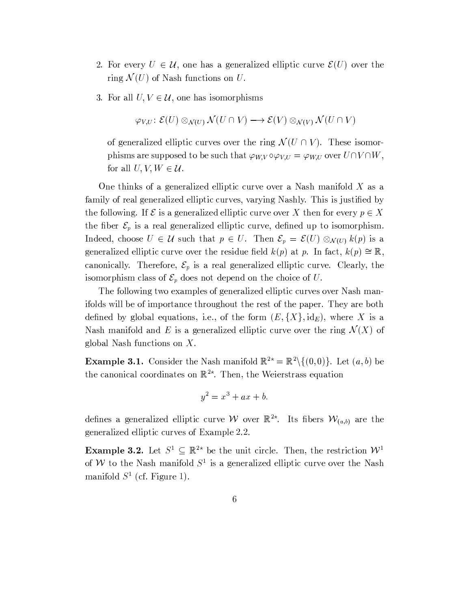- 2. For every  $U \in \mathcal{U}$ , one has a generalized elliptic curve  $\mathcal{E}(U)$  over the ring  $\mathcal{N}(U)$  of Nash functions on U.
- 3. For all  $U, V \in \mathcal{U}$ , one has isomorphisms

$$
\varphi_{V,U}\colon \mathcal{E}(U)\otimes_{\mathcal{N}(U)}\mathcal{N}(U\cap V)\longrightarrow \mathcal{E}(V)\otimes_{\mathcal{N}(V)}\mathcal{N}(U\cap V)
$$

of generalized elliptic curves over the ring  $\mathcal{N}(U \cap V)$ . These isomorphisms are supposed to be such that  $\varphi_{W,V} \circ \varphi_{V,U} = \varphi_{W,U}$  over  $U \cap V \cap W$ , for all  $U, V, W \in \mathcal{U}$ .

One thinks of a generalized elliptic curve over a Nash manifold  $X$  as a family of real generalized elliptic curves, varying Nashly. This is justified by the following. If  $\mathcal E$  is a generalized elliptic curve over X then for every  $p \in X$ the fiber  $\mathcal{E}_p$  is a real generalized elliptic curve, defined up to isomorphism. Indeed, choose  $U \in \mathcal{U}$  such that  $p \in U$ . Then  $\mathcal{E}_p = \mathcal{E}(U) \otimes_{\mathcal{N}(U)} k(p)$  is a generalized elliptic curve over the residue field  $k(p)$  at p. In fact,  $k(p) \cong \mathbb{R}$ , canonically. Therefore,  $\mathcal{E}_p$  is a real generalized elliptic curve. Clearly, the isomorphism class of  $\mathcal{E}_p$  does not depend on the choice of U.

The following two examples of generalized elliptic curves over Nash manifolds will be of importance throughout the rest of the paper. They are both defined by global equations, i.e., of the form  $(E, \{X\}, id_E)$ , where X is a Nash manifold and E is a generalized elliptic curve over the ring  $\mathcal{N}(X)$  of global Nash functions on  $X$ .

**Example 3.1.** Consider the Nash manifold  $\mathbb{R}^{2*} = \mathbb{R}^2 \setminus \{(0,0)\}\.$  Let  $(a,b)$  be the canonical coordinates on  $\mathbb{R}^{2*}$ . Then, the Weierstrass equation

$$
y^2 = x^3 + ax + b
$$

defines a generalized elliptic curve W over  $\mathbb{R}^{2*}$ . Its fibers  $\mathcal{W}_{(a,b)}$  are the generalized elliptic curves of Example 2.2.

**Example 3.2.** Let  $S^1 \subset \mathbb{R}^{2*}$  be the unit circle. Then, the restriction  $W^1$ of W to the Nash manifold  $S^1$  is a generalized elliptic curve over the Nash manifold  $S^1$  (cf. Figure 1).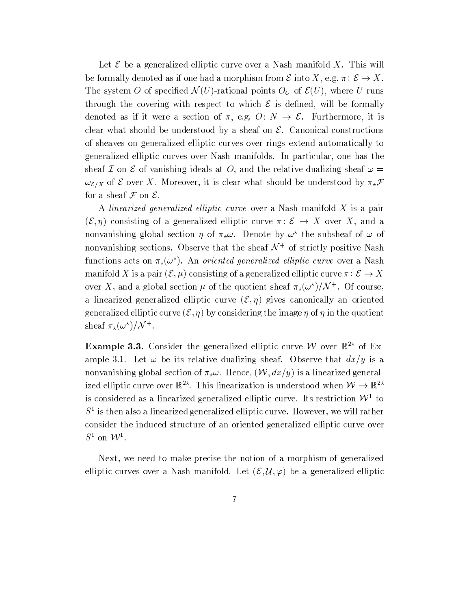Let  $\mathcal E$  be a generalized elliptic curve over a Nash manifold X. This will be formally denoted as if one had a morphism from  $\mathcal E$  into X, e.g.  $\pi: \mathcal E \to X$ . The system O of specified  $\mathcal{N}(U)$ -rational points  $O_U$  of  $\mathcal{E}(U)$ , where U runs through the covering with respect to which  $\mathcal E$  is defined, will be formally denoted as if it were a section of  $\pi$ , e.g.  $O: N \to \mathcal{E}$ . Furthermore, it is clear what should be understood by a sheaf on  $\mathcal{E}$ . Canonical constructions of sheaves on generalized elliptic curves over rings extend automatically to generalized elliptic curves over Nash manifolds. In particular, one has the sheaf  $\mathcal I$  on  $\mathcal E$  of vanishing ideals at O, and the relative dualizing sheaf  $\omega =$  $\omega_{\mathcal{E}/X}$  of  $\mathcal E$  over X. Moreover, it is clear what should be understood by  $\pi_{\star}\mathcal F$ for a sheaf  $\mathcal F$  on  $\mathcal E$ .

A linearized generalized elliptic curve over a Nash manifold X is a pair  $(\mathcal{E}, \eta)$  consisting of a generalized elliptic curve  $\pi: \mathcal{E} \to X$  over X, and a nonvanishing global section  $\eta$  of  $\pi_x \omega$ . Denote by  $\omega^*$  the subsheaf of  $\omega$  of nonvanishing sections. Observe that the sheaf  $\mathcal{N}^+$  of strictly positive Nash functions acts on  $\pi_{\star}(\omega^{\star})$ . An *oriented generalized elliptic curve* over a Nash manifold X is a pair  $(\mathcal{E}, \mu)$  consisting of a generalized elliptic curve  $\pi: \mathcal{E} \to X$ over X, and a global section  $\mu$  of the quotient sheaf  $\pi_{\star}(\omega^{\star})/\mathcal{N}^{+}$ . Of course, a linearized generalized elliptic curve  $(\mathcal{E}, \eta)$  gives canonically an oriented generalized elliptic curve  $(\mathcal{E}, \bar{\eta})$  by considering the image  $\bar{\eta}$  of  $\eta$  in the quotient sheaf  $\pi_{\star}(\omega^{\star})/\mathcal{N}^+$ .

**Example 3.3.** Consider the generalized elliptic curve W over  $\mathbb{R}^{2*}$  of Example 3.1. Let  $\omega$  be its relative dualizing sheaf. Observe that  $dx/y$  is a nonvanishing global section of  $\pi_{\star}\omega$ . Hence,  $(\mathcal{W}, dx/y)$  is a linearized generalized elliptic curve over  $\mathbb{R}^{2*}$ . This linearization is understood when  $\mathcal{W} \to \mathbb{R}^{2*}$ is considered as a linearized generalized elliptic curve. Its restriction  $W<sup>1</sup>$  to  $S<sup>1</sup>$  is then also a linearized generalized elliptic curve. However, we will rather consider the induced structure of an oriented generalized elliptic curve over  $S^1$  on  $\mathcal{W}^1$ .

Next, we need to make precise the notion of a morphism of generalized elliptic curves over a Nash manifold. Let  $(\mathcal{E}, \mathcal{U}, \varphi)$  be a generalized elliptic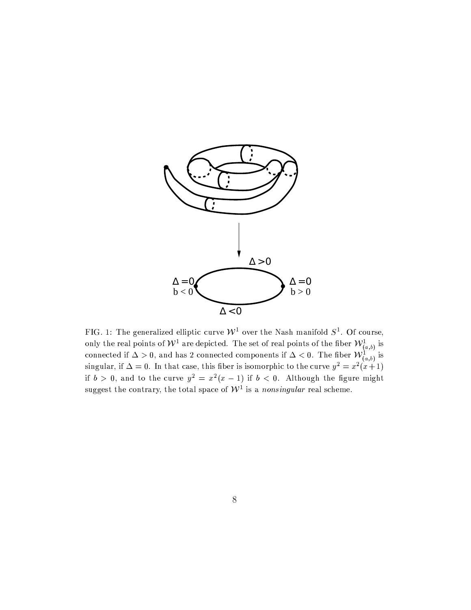

FIG. 1: The generalized elliptic curve  $W^1$  over the Nash manifold  $S^1$ . Of course, only the real points of  $W^1$  are depicted. The set of real points of the fiber  $W^1_{(a,b)}$  is connected if  $\Delta > 0$ , and has 2 connected if  $b > 0$ , and to the curve  $y^2 = x^2(x - 1)$  if  $b < 0$ . Although the figure might suggest the contrary, the total space of  $\mathcal{W}^1$  is a nonsingular real scheme.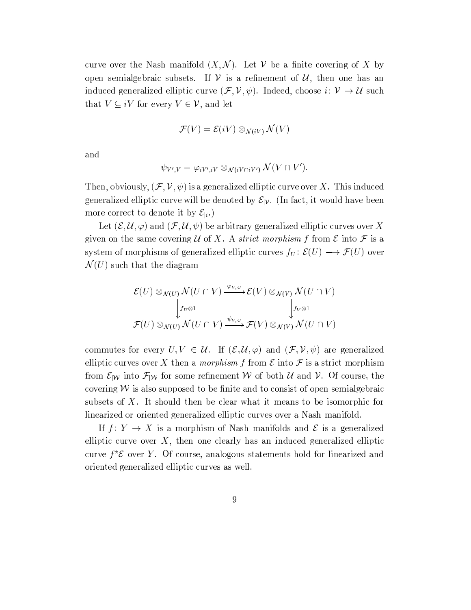curve over the Nash manifold  $(X, \mathcal{N})$ . Let V be a finite covering of X by open semialgebraic subsets. If  $V$  is a refinement of  $U$ , then one has an induced generalized elliptic curve  $(\mathcal{F}, \mathcal{V}, \psi)$ . Indeed, choose  $i: \mathcal{V} \to \mathcal{U}$  such that  $V \subseteq iV$  for every  $V \in V$ , and let

$$
\mathcal{F}(V) = \mathcal{E}(iV) \otimes_{\mathcal{N}(iV)} \mathcal{N}(V)
$$

and

$$
\psi_{V',V} = \varphi_{iV',iV} \otimes_{\mathcal{N}(iV \cap iV')} \mathcal{N}(V \cap V').
$$

Then, obviously,  $(\mathcal{F}, \mathcal{V}, \psi)$  is a generalized elliptic curve over X. This induced generalized elliptic curve will be denoted by  $\mathcal{E}_{|\mathcal{V}|}$ . (In fact, it would have been more correct to denote it by  $\mathcal{E}_{i}$ .

Let  $(\mathcal{E}, \mathcal{U}, \varphi)$  and  $(\mathcal{F}, \mathcal{U}, \psi)$  be arbitrary generalized elliptic curves over X given on the same covering U of X. A strict morphism f from  $\mathcal E$  into  $\mathcal F$  is a system of morphisms of generalized elliptic curves  $f_U: \mathcal{E}(U) \longrightarrow \mathcal{F}(U)$  over  $\mathcal{N}(U)$  such that the diagram

$$
\mathcal{E}(U) \otimes_{\mathcal{N}(U)} \mathcal{N}(U \cap V) \xrightarrow{\varphi_{V,U}} \mathcal{E}(V) \otimes_{\mathcal{N}(V)} \mathcal{N}(U \cap V)
$$
\n
$$
\downarrow^{f_U \otimes 1} \qquad \qquad \downarrow^{f_V \otimes 1}
$$
\n
$$
\mathcal{F}(U) \otimes_{\mathcal{N}(U)} \mathcal{N}(U \cap V) \xrightarrow{\psi_{V,U}} \mathcal{F}(V) \otimes_{\mathcal{N}(V)} \mathcal{N}(U \cap V)
$$

commutes for every  $U, V \in \mathcal{U}$ . If  $(\mathcal{E}, \mathcal{U}, \varphi)$  and  $(\mathcal{F}, \mathcal{V}, \psi)$  are generalized elliptic curves over X then a *morphism* f from  $\mathcal E$  into  $\mathcal F$  is a strict morphism from  $\mathcal{E}_{|W}$  into  $\mathcal{F}_{|W}$  for some refinement W of both U and V. Of course, the covering  $W$  is also supposed to be finite and to consist of open semialgebraic subsets of X. It should then be clear what it means to be isomorphic for linearized or oriented generalized elliptic curves over a Nash manifold.

If  $f: Y \to X$  is a morphism of Nash manifolds and  $\mathcal E$  is a generalized elliptic curve over  $X$ , then one clearly has an induced generalized elliptic curve  $f^*\mathcal{E}$  over Y. Of course, analogous statements hold for linearized and oriented generalized elliptic curves as well.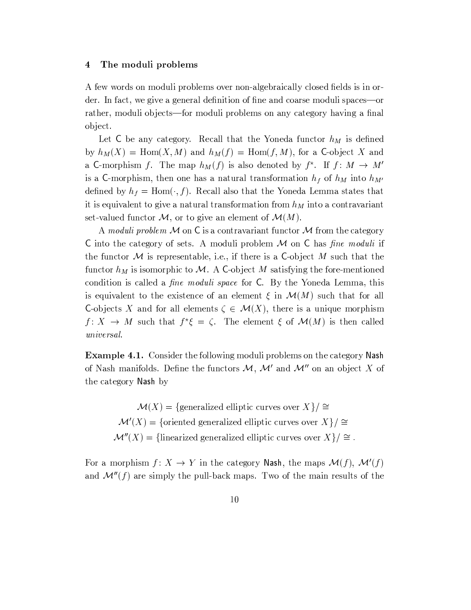#### The moduli problems  $\overline{\mathbf{4}}$

A few words on moduli problems over non-algebraically closed fields is in order. In fact, we give a general definition of fine and coarse moduli spaces—or rather, moduli objects—for moduli problems on any category having a final object.

Let C be any category. Recall that the Yoneda functor  $h_M$  is defined by  $h_M(X) = \text{Hom}(X, M)$  and  $h_M(f) = \text{Hom}(f, M)$ , for a C-object X and a C-morphism f. The map  $h_M(f)$  is also denoted by  $f^*$ . If  $f: M \to M'$ is a C-morphism, then one has a natural transformation  $h_f$  of  $h_M$  into  $h_{M'}$ defined by  $h_f = \text{Hom}(\cdot, f)$ . Recall also that the Yoneda Lemma states that it is equivalent to give a natural transformation from  $h_M$  into a contravariant set-valued functor M, or to give an element of  $\mathcal{M}(M)$ .

A moduli problem M on C is a contravariant functor M from the category C into the category of sets. A moduli problem  $M$  on C has *fine moduli* if the functor  $M$  is representable, i.e., if there is a C-object  $M$  such that the functor  $h_M$  is isomorphic to M. A C-object M satisfying the fore-mentioned condition is called a *fine moduli space* for C. By the Yoneda Lemma, this is equivalent to the existence of an element  $\xi$  in  $\mathcal{M}(M)$  such that for all C-objects X and for all elements  $\zeta \in \mathcal{M}(X)$ , there is a unique morphism  $f: X \to M$  such that  $f^*\xi = \zeta$ . The element  $\xi$  of  $\mathcal{M}(M)$  is then called *universal.* 

**Example 4.1.** Consider the following moduli problems on the category Nash of Nash manifolds. Define the functors  $M$ ,  $M'$  and  $M''$  on an object X of the category Nash by

 $\mathcal{M}(X) = \{\text{generalized elliptic curves over } X\}/\cong$  $\mathcal{M}'(X) = \{$ oriented generalized elliptic curves over  $X\}/\cong$  $\mathcal{M}''(X) =$ {linearized generalized elliptic curves over  $X\}/\cong$ .

For a morphism  $f: X \to Y$  in the category Nash, the maps  $\mathcal{M}(f)$ ,  $\mathcal{M}'(f)$ and  $\mathcal{M}''(f)$  are simply the pull-back maps. Two of the main results of the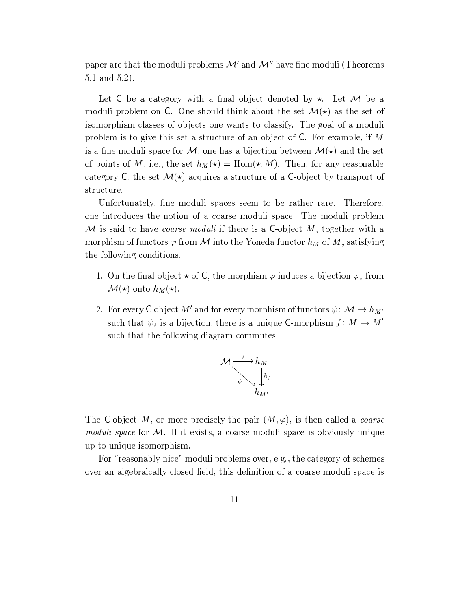paper are that the moduli problems  $\mathcal{M}'$  and  $\mathcal{M}''$  have fine moduli (Theorems  $5.1$  and  $5.2$ ).

Let C be a category with a final object denoted by  $\star$ . Let M be a moduli problem on C. One should think about the set  $\mathcal{M}(\star)$  as the set of isomorphism classes of objects one wants to classify. The goal of a moduli problem is to give this set a structure of an object of  $C$ . For example, if M is a fine moduli space for M, one has a bijection between  $\mathcal{M}(\star)$  and the set of points of M, i.e., the set  $h_M(\star) = \text{Hom}(\star, M)$ . Then, for any reasonable category C, the set  $\mathcal{M}(*)$  acquires a structure of a C-object by transport of structure.

Unfortunately, fine moduli spaces seem to be rather rare. Therefore, one introduces the notion of a coarse moduli space: The moduli problem M is said to have *coarse moduli* if there is a C-object M, together with a morphism of functors  $\varphi$  from M into the Yoneda functor  $h_M$  of M, satisfying the following conditions.

- 1. On the final object  $\star$  of C, the morphism  $\varphi$  induces a bijection  $\varphi_{\star}$  from  $\mathcal{M}(\star)$  onto  $h_M(\star)$ .
- 2. For every C-object M' and for every morphism of functors  $\psi \colon \mathcal{M} \to h_{M'}$ such that  $\psi_*$  is a bijection, there is a unique C-morphism  $f: M \to M'$ such that the following diagram commutes.



The C-object M, or more precisely the pair  $(M, \varphi)$ , is then called a *coarse moduli space* for  $M$ . If it exists, a coarse moduli space is obviously unique up to unique isomorphism.

For "reasonably nice" moduli problems over, e.g., the category of schemes over an algebraically closed field, this definition of a coarse moduli space is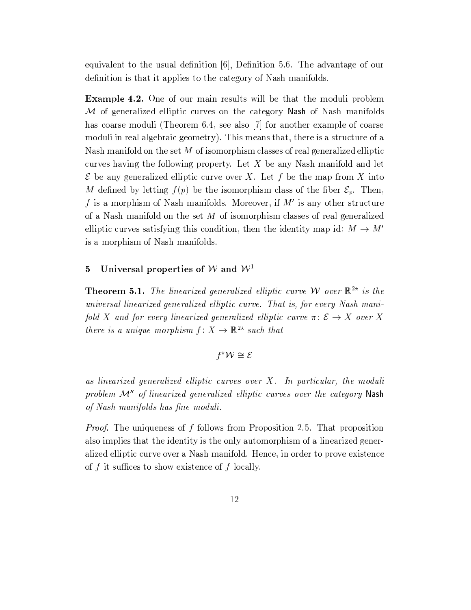equivalent to the usual definition  $[6]$ , Definition 5.6. The advantage of our definition is that it applies to the category of Nash manifolds.

**Example 4.2.** One of our main results will be that the moduli problem M of generalized elliptic curves on the category Nash of Nash manifolds has coarse moduli (Theorem 6.4, see also [7] for another example of coarse moduli in real algebraic geometry). This means that, there is a structure of a Nash manifold on the set  $M$  of isomorphism classes of real generalized elliptic curves having the following property. Let X be any Nash manifold and let  $\mathcal E$  be any generalized elliptic curve over X. Let f be the map from X into M defined by letting  $f(p)$  be the isomorphism class of the fiber  $\mathcal{E}_p$ . Then, f is a morphism of Nash manifolds. Moreover, if  $M'$  is any other structure of a Nash manifold on the set  $M$  of isomorphism classes of real generalized elliptic curves satisfying this condition, then the identity map id:  $M \rightarrow M'$ is a morphism of Nash manifolds.

#### Universal properties of W and  $W<sup>1</sup>$  $\overline{5}$

**Theorem 5.1.** The linearized generalized elliptic curve W over  $\mathbb{R}^{2*}$  is the universal linearized generalized elliptic curve. That is, for every Nash manifold X and for every linearized generalized elliptic curve  $\pi: \mathcal{E} \to X$  over X there is a unique morphism  $f: X \to \mathbb{R}^{2*}$  such that

## $f^{\star}\mathcal{W} \cong \mathcal{E}$

as linearized generalized elliptic curves over  $X$ . In particular, the moduli problem M" of linearized generalized elliptic curves over the category Nash of Nash manifolds has fine moduli.

*Proof.* The uniqueness of  $f$  follows from Proposition 2.5. That proposition also implies that the identity is the only automorphism of a linearized generalized elliptic curve over a Nash manifold. Hence, in order to prove existence of f it suffices to show existence of f locally.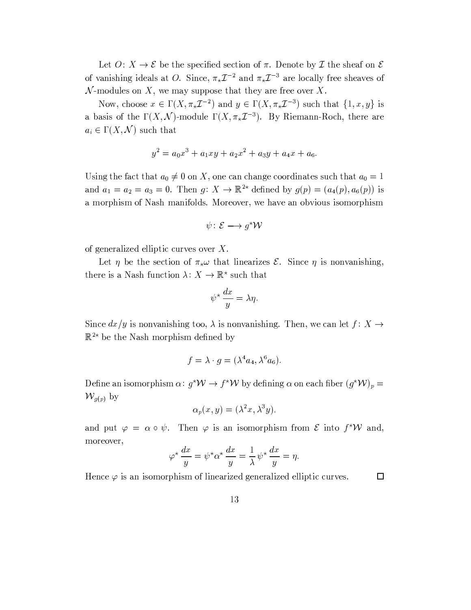Let  $O: X \to \mathcal{E}$  be the specified section of  $\pi$ . Denote by  $\mathcal{I}$  the sheaf on  $\mathcal{E}$ of vanishing ideals at O. Since,  $\pi_{\star}\mathcal{I}^{-2}$  and  $\pi_{\star}\mathcal{I}^{-3}$  are locally free sheaves of  $N$ -modules on X, we may suppose that they are free over X.

Now, choose  $x \in \Gamma(X, \pi_* \mathcal{I}^{-2})$  and  $y \in \Gamma(X, \pi_* \mathcal{I}^{-3})$  such that  $\{1, x, y\}$  is a basis of the  $\Gamma(X, \mathcal{N})$ -module  $\Gamma(X, \pi_{*}\mathcal{I}^{-3})$ . By Riemann-Roch, there are  $a_i \in \Gamma(X, \mathcal{N})$  such that

$$
y^2 = a_0 x^3 + a_1 x y + a_2 x^2 + a_3 y + a_4 x + a_6
$$

Using the fact that  $a_0 \neq 0$  on X, one can change coordinates such that  $a_0 = 1$ and  $a_1 = a_2 = a_3 = 0$ . Then  $g: X \to \mathbb{R}^{2*}$  defined by  $g(p) = (a_4(p), a_6(p))$  is a morphism of Nash manifolds. Moreover, we have an obvious isomorphism

$$
\psi \colon \mathcal{E} \longrightarrow g^{\star} \mathcal{W}
$$

of generalized elliptic curves over  $X$ .

Let  $\eta$  be the section of  $\pi_{\star}\omega$  that linearizes  $\mathcal{E}$ . Since  $\eta$  is nonvanishing, there is a Nash function  $\lambda: X \to \mathbb{R}^*$  such that

$$
\psi^\star \, \frac{dx}{y} = \lambda \eta
$$

Since  $dx/y$  is nonvanishing too,  $\lambda$  is nonvanishing. Then, we can let  $f: X \to Y$  $\mathbb{R}^{2*}$  be the Nash morphism defined by

$$
f = \lambda \cdot g = (\lambda^4 a_4, \lambda^6 a_6).
$$

Define an isomorphism  $\alpha: g^*W \to f^*W$  by defining  $\alpha$  on each fiber  $(g^*W)_p =$  $\mathcal{W}_{g(p)}$  by

$$
\alpha_p(x,y) = (\lambda^2 x, \lambda^3 y).
$$

and put  $\varphi = \alpha \circ \psi$ . Then  $\varphi$  is an isomorphism from  $\mathcal E$  into  $f^*W$  and, moreover,

$$
\varphi^* \frac{dx}{y} = \psi^* \alpha^* \frac{dx}{y} = \frac{1}{\lambda} \psi^* \frac{dx}{y} = \eta.
$$

Hence  $\varphi$  is an isomorphism of linearized generalized elliptic curves.

 $\Box$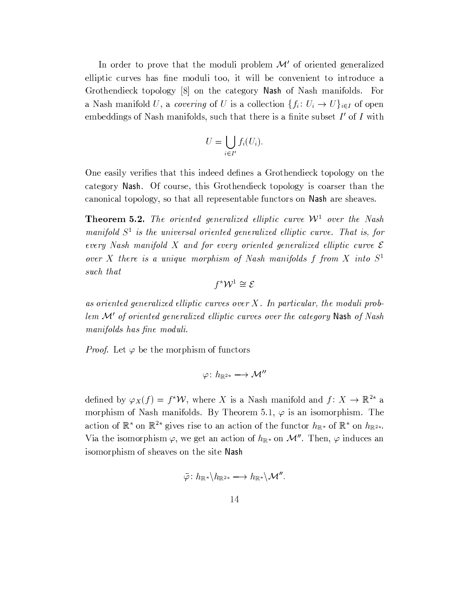In order to prove that the moduli problem  $\mathcal{M}'$  of oriented generalized elliptic curves has fine moduli too, it will be convenient to introduce a Grothendieck topology [8] on the category Nash of Nash manifolds. For a Nash manifold U, a covering of U is a collection  $\{f_i: U_i \to U\}_{i \in I}$  of open embeddings of Nash manifolds, such that there is a finite subset  $I'$  of  $I$  with

$$
U=\bigcup_{i\in I'}f_i(U_i)
$$

One easily verifies that this indeed defines a Grothendieck topology on the category Nash. Of course, this Grothendieck topology is coarser than the canonical topology, so that all representable functors on Nash are sheaves.

**Theorem 5.2.** The oriented generalized elliptic curve  $W^1$  over the Nash manifold  $S<sup>1</sup>$  is the universal oriented generalized elliptic curve. That is, for every Nash manifold X and for every oriented generalized elliptic curve  $\mathcal E$ over X there is a unique morphism of Nash manifolds  $f$  from  $X$  into  $S^1$ such that

 $f^{\star}\mathcal{W}^1 \cong \mathcal{E}$ 

as oriented generalized elliptic curves over  $X$ . In particular, the moduli problem M' of oriented generalized elliptic curves over the category Nash of Nash manifolds has fine moduli.

*Proof.* Let  $\varphi$  be the morphism of functors

$$
\varphi\colon h_{\mathbb{R}^{2\star}}\longrightarrow \mathcal{M}''
$$

defined by  $\varphi_X(f) = f^* \mathcal{W}$ , where X is a Nash manifold and  $f: X \to \mathbb{R}^{2*}$  a morphism of Nash manifolds. By Theorem 5.1,  $\varphi$  is an isomorphism. The action of  $\mathbb{R}^*$  on  $\mathbb{R}^{2*}$  gives rise to an action of the functor  $h_{\mathbb{R}^*}$  of  $\mathbb{R}^*$  on  $h_{\mathbb{R}^{2*}}$ . Via the isomorphism  $\varphi$ , we get an action of  $h_{\mathbb{R}}$  on M''. Then,  $\varphi$  induces an isomorphism of sheaves on the site Nash

$$
\bar{\varphi}\colon h_{\R^{\star}}\backslash h_{\R^{2\star}}\longrightarrow h_{\R^{\star}}\backslash\mathcal{M}''
$$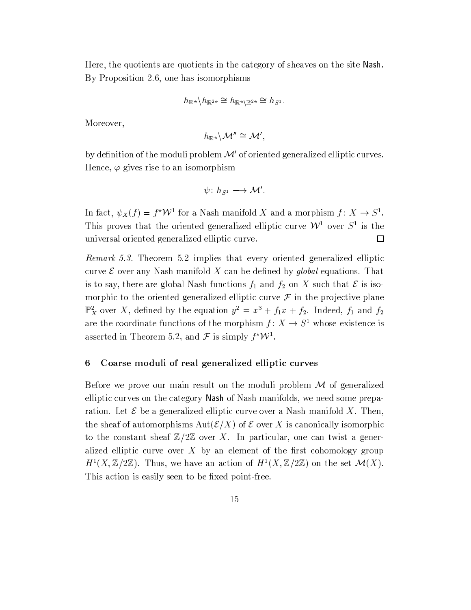Here, the quotients are quotients in the category of sheaves on the site Nash. By Proposition 2.6, one has isomorphisms

$$
h_{\mathbb{R}^{\star}}\backslash h_{\mathbb{R}^{2\star}}\cong h_{\mathbb{R}^{\star}\backslash\mathbb{R}^{2\star}}\cong h_{S^1}
$$

Moreover,

$$
h_{{\mathbb R}^*}\backslash {\mathcal M}''\cong {\mathcal M}',
$$

by definition of the moduli problem  $\mathcal{M}'$  of oriented generalized elliptic curves. Hence,  $\bar{\varphi}$  gives rise to an isomorphism

$$
\psi\colon h_{S^1}\longrightarrow \mathcal M'.
$$

In fact,  $\psi_X(f) = f^* \mathcal{W}^1$  for a Nash manifold X and a morphism  $f: X \to S^1$ . This proves that the oriented generalized elliptic curve  $\mathcal{W}^1$  over  $S^1$  is the universal oriented generalized elliptic curve.  $\Box$ 

*Remark 5.3.* Theorem 5.2 implies that every oriented generalized elliptic curve  $\mathcal E$  over any Nash manifold X can be defined by global equations. That is to say, there are global Nash functions  $f_1$  and  $f_2$  on X such that  $\mathcal E$  is isomorphic to the oriented generalized elliptic curve  $\mathcal F$  in the projective plane  $\mathbb{P}^2$  over X, defined by the equation  $y^2 = x^3 + f_1x + f_2$ . Indeed,  $f_1$  and  $f_2$ are the coordinate functions of the morphism  $f: X \to S^1$  whose existence is asserted in Theorem 5.2, and  $\mathcal F$  is simply  $f^*W^1$ .

#### Coarse moduli of real generalized elliptic curves 6

Before we prove our main result on the moduli problem  $M$  of generalized elliptic curves on the category Nash of Nash manifolds, we need some preparation. Let  $\mathcal E$  be a generalized elliptic curve over a Nash manifold X. Then, the sheaf of automorphisms  $Aut(\mathcal{E}/X)$  of  $\mathcal E$  over X is canonically isomorphic to the constant sheaf  $\mathbb{Z}/2\mathbb{Z}$  over X. In particular, one can twist a generalized elliptic curve over  $X$  by an element of the first cohomology group  $H^1(X,\mathbb{Z}/2\mathbb{Z})$ . Thus, we have an action of  $H^1(X,\mathbb{Z}/2\mathbb{Z})$  on the set  $\mathcal{M}(X)$ . This action is easily seen to be fixed point-free.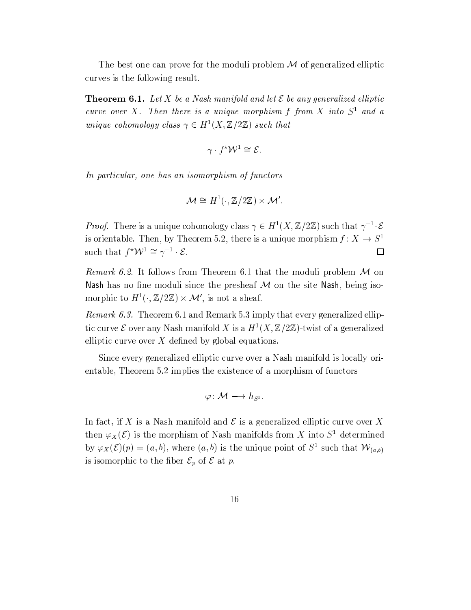The best one can prove for the moduli problem  $\mathcal M$  of generalized elliptic curves is the following result.

**Theorem 6.1.** Let X be a Nash manifold and let  $\mathcal E$  be any generalized elliptic curve over  $X$ . Then there is a unique morphism  $f$  from  $X$  into  $S^1$  and a unique cohomology class  $\gamma \in H^1(X, \mathbb{Z}/2\mathbb{Z})$  such that

$$
\gamma \cdot f^* \mathcal{W}^1 \cong \mathcal{E}.
$$

In particular, one has an isomorphism of functors

$$
\mathcal{M} \cong H^1(\cdot, \mathbb{Z}/2\mathbb{Z}) \times \mathcal{M}'.
$$

*Proof.* There is a unique cohomology class  $\gamma \in H^1(X, \mathbb{Z}/2\mathbb{Z})$  such that  $\gamma^{-1} \cdot \mathcal{E}$ is orientable. Then, by Theorem 5.2, there is a unique morphism  $f: X \to S^1$ such that  $f^*W^1 \cong \gamma^{-1} \cdot \mathcal{E}$ .  $\Box$ 

*Remark 6.2.* It follows from Theorem 6.1 that the moduli problem  $M$  on Nash has no fine moduli since the presheaf  $M$  on the site Nash, being isomorphic to  $H^1(\cdot, \mathbb{Z}/2\mathbb{Z}) \times \mathcal{M}'$ , is not a sheaf.

*Remark 6.3.* Theorem 6.1 and Remark 5.3 imply that every generalized elliptic curve  $\mathcal E$  over any Nash manifold X is a  $H^1(X,\mathbb Z/2\mathbb Z)$ -twist of a generalized elliptic curve over  $X$  defined by global equations.

Since every generalized elliptic curve over a Nash manifold is locally orientable, Theorem 5.2 implies the existence of a morphism of functors

$$
\varphi\colon \mathcal{M} \longrightarrow h_{S^1}.
$$

In fact, if X is a Nash manifold and  $\mathcal E$  is a generalized elliptic curve over X then  $\varphi_X(\mathcal{E})$  is the morphism of Nash manifolds from X into  $S^1$  determined by  $\varphi_X(\mathcal{E})(p) = (a, b)$ , where  $(a, b)$  is the unique point of  $S^1$  such that  $\mathcal{W}_{(a, b)}$ is isomorphic to the fiber  $\mathcal{E}_p$  of  $\mathcal E$  at p.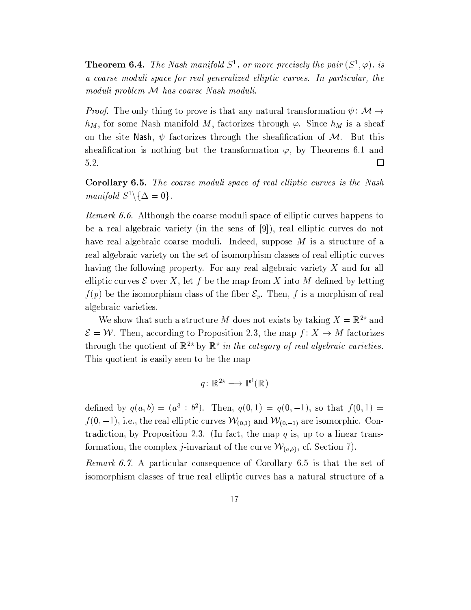**Theorem 6.4.** The Nash manifold  $S^1$ , or more precisely the pair  $(S^1, \varphi)$ , is a coarse moduli space for real generalized elliptic curves. In particular, the moduli problem M has coarse Nash moduli.

*Proof.* The only thing to prove is that any natural transformation  $\psi \colon \mathcal{M} \to$  $h_M$ , for some Nash manifold M, factorizes through  $\varphi$ . Since  $h_M$  is a sheaf on the site Nash,  $\psi$  factorizes through the sheafification of M. But this sheafification is nothing but the transformation  $\varphi$ , by Theorems 6.1 and 5.2.  $\Box$ 

**Corollary 6.5.** The coarse moduli space of real elliptic curves is the Nash manifold  $S^1 \backslash {\Delta = 0}$ .

*Remark 6.6.* Although the coarse moduli space of elliptic curves happens to be a real algebraic variety (in the sens of [9]), real elliptic curves do not have real algebraic coarse moduli. Indeed, suppose  $M$  is a structure of a real algebraic variety on the set of isomorphism classes of real elliptic curves having the following property. For any real algebraic variety X and for all elliptic curves  $\mathcal E$  over X, let f be the map from X into M defined by letting  $f(p)$  be the isomorphism class of the fiber  $\mathcal{E}_p$ . Then, f is a morphism of real algebraic varieties.

We show that such a structure M does not exists by taking  $X = \mathbb{R}^{2*}$  and  $\mathcal{E} = \mathcal{W}$ . Then, according to Proposition 2.3, the map  $f: X \to M$  factorizes through the quotient of  $\mathbb{R}^{2*}$  by  $\mathbb{R}^*$  in the category of real algebraic varieties. This quotient is easily seen to be the map

$$
q\colon \mathbb{R}^{2\star}\longrightarrow \mathbb{P}^1(\mathbb{R})
$$

defined by  $q(a, b) = (a^3 : b^2)$ . Then,  $q(0, 1) = q(0, -1)$ , so that  $f(0, 1) =$  $f(0,-1)$ , i.e., the real elliptic curves  $W_{(0,1)}$  and  $W_{(0,-1)}$  are isomorphic. Contradiction, by Proposition 2.3. (In fact, the map  $q$  is, up to a linear transformation, the complex *j*-invariant of the curve  $W_{(a,b)}$ , cf. Section 7).

*Remark 6.7.* A particular consequence of Corollary 6.5 is that the set of isomorphism classes of true real elliptic curves has a natural structure of a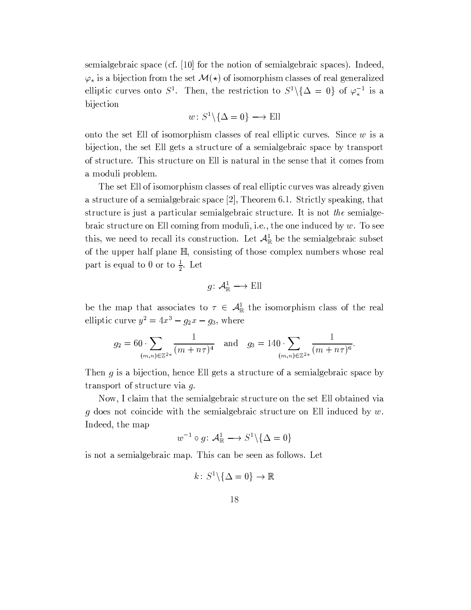semialgebraic space (cf. [10] for the notion of semialgebraic spaces). Indeed,  $\varphi_{\star}$  is a bijection from the set  $\mathcal{M}(\star)$  of isomorphism classes of real generalized elliptic curves onto  $S^1$ . Then, the restriction to  $S^1 \setminus {\{\Delta = 0\}}$  of  $\varphi_*^{-1}$  is a bijection

$$
w\colon S^1\backslash\{\Delta=0\}\longrightarrow \text{Ell}
$$

onto the set Ell of isomorphism classes of real elliptic curves. Since  $w$  is a bijection, the set Ell gets a structure of a semialgebraic space by transport of structure. This structure on Ell is natural in the sense that it comes from a moduli problem.

The set Ell of isomorphism classes of real elliptic curves was already given a structure of a semialgebraic space  $[2]$ , Theorem 6.1. Strictly speaking, that structure is just a particular semialgebraic structure. It is not the semialgebraic structure on Ell coming from moduli, i.e., the one induced by  $w$ . To see this, we need to recall its construction. Let  $\mathcal{A}^1_{\mathbb{R}}$  be the semialgebraic subset of the upper half plane  $\mathbb{H}$ , consisting of those complex numbers whose real part is equal to 0 or to  $\frac{1}{2}$ . Let

$$
g\colon \mathcal{A}_{\mathbb{R}}^1\longrightarrow \text{Ell}
$$

be the map that associates to  $\tau \in A_{\mathbb{R}}^1$  the isomorphism class of the real elliptic curve  $y^2 = 4x^3 - g_2x - g_3$ , where

$$
g_2 = 60 \cdot \sum_{(m,n)\in\mathbb{Z}^{2*}} \frac{1}{(m+n\tau)^4} \quad \text{and} \quad g_3 = 140 \cdot \sum_{(m,n)\in\mathbb{Z}^{2*}} \frac{1}{(m+n\tau)^6}
$$

Then  $g$  is a bijection, hence Ell gets a structure of a semialgebraic space by transport of structure via  $q$ .

Now, I claim that the semialgebraic structure on the set Ell obtained via g does not coincide with the semialgebraic structure on Ell induced by  $w$ . Indeed, the map

$$
w^{-1} \circ g \colon \mathcal{A}^1_{\mathbb{R}} \longrightarrow S^1 \backslash \{ \Delta = 0 \}
$$

is not a semialgebraic map. This can be seen as follows. Let

$$
k\colon S^1\backslash\{\Delta=0\}\to\mathbb{R}
$$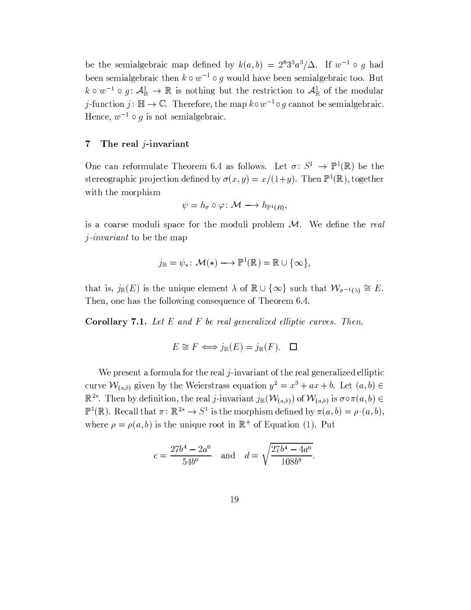be the semialgebraic map defined by  $k(a, b) = 2^{8}3^{3} a^{3}/\Delta$ . If  $w^{-1} \circ q$  had been semialgebraic then  $k \circ w^{-1} \circ g$  would have been semialgebraic too. But  $k \circ w^{-1} \circ g: \mathcal{A}_{\mathbb{R}}^1 \to \mathbb{R}$  is nothing but the restriction to  $\mathcal{A}_{\mathbb{R}}^1$  of the modular j-function j:  $\mathbb{H} \to \mathbb{C}$ . Therefore, the map  $k \circ w^{-1} \circ g$  cannot be semialgebraic. Hence,  $w^{-1} \circ q$  is not semialgebraic.

#### $\overline{7}$ The real  $j$ -invariant

One can reformulate Theorem 6.4 as follows. Let  $\sigma: S^1 \to \mathbb{P}^1(\mathbb{R})$  be the stereographic projection defined by  $\sigma(x, y) = x/(1+y)$ . Then  $\mathbb{P}^1(\mathbb{R})$ , together with the morphism

$$
\psi = h_{\sigma} \circ \varphi \colon \mathcal{M} \longrightarrow h_{\mathbb{P}^1(R)},
$$

is a coarse moduli space for the moduli problem  $M$ . We define the real  $j$ -invariant to be the map

$$
j_{\mathbb{R}} = \psi_{\star} \colon \mathcal{M}(\star) \longrightarrow \mathbb{P}^{1}(\mathbb{R}) = \mathbb{R} \cup \{\infty\},
$$

that is,  $j_{\mathbb{R}}(E)$  is the unique element  $\lambda$  of  $\mathbb{R}\cup\{\infty\}$  such that  $\mathcal{W}_{\sigma^{-1}(\lambda)}\cong E$ . Then, one has the following consequence of Theorem 6.4.

**Corollary 7.1.** Let  $E$  and  $F$  be real generalized elliptic curves. Then,

$$
E \cong F \iff j_{\mathbb{R}}(E) = j_{\mathbb{R}}(F). \quad \Box
$$

We present a formula for the real  $j$ -invariant of the real generalized elliptic curve  $W_{(a,b)}$  given by the Weierstrass equation  $y^2 = x^3 + ax + b$ . Let  $(a, b) \in$  $\mathbb{R}^{2*}$ . Then by definition, the real *j*-invariant  $j_{\mathbb{R}}(\mathcal{W}_{(a,b)})$  of  $\mathcal{W}_{(a,b)}$  is  $\sigma \circ \pi(a,b) \in$  $\mathbb{P}^1(\mathbb{R})$ . Recall that  $\pi: \mathbb{R}^{2*} \to S^1$  is the morphism defined by  $\pi(a, b) = \rho \cdot (a, b)$ , where  $\rho = \rho(a, b)$  is the unique root in  $\mathbb{R}^+$  of Equation (1). Put

$$
c = \frac{27b^4 - 2a^6}{54b^6} \quad \text{and} \quad d = \sqrt{\frac{27b^4 - 4a^6}{108b^8}}
$$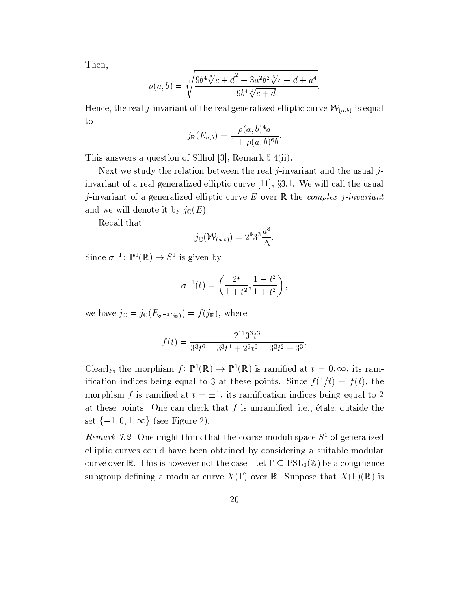Then,

$$
\rho(a,b) = \sqrt[4]{\frac{9b^4\sqrt[3]{c+d^2 - 3a^2b^2\sqrt[3]{c+d} + a^4}}{9b^4\sqrt[3]{c+d}}}.
$$

Hence, the real j-invariant of the real generalized elliptic curve  $\mathcal{W}_{(a,b)}$  is equal to

$$
j_{\mathbb{R}}(E_{a,b}) = \frac{\rho(a,b)^4 a}{1 + \rho(a,b)^6 b}.
$$

This answers a question of Silhol [3], Remark  $5.4(ii)$ .

Next we study the relation between the real j-invariant and the usual jinvariant of a real generalized elliptic curve  $[11]$ ,  $\S 3.1$ . We will call the usual *j*-invariant of a generalized elliptic curve E over  $\mathbb R$  the *complex j-invariant* and we will denote it by  $j_{\mathbb{C}}(E)$ .

Recall that

$$
j_{\mathbb{C}}(\mathcal{W}_{(a,b)})=2^83^3\frac{a^3}{\Delta}.
$$

Since  $\sigma^{-1} \colon \mathbb{P}^1(\mathbb{R}) \to S^1$  is given by

$$
\sigma^{-1}(t) = \left(\frac{2t}{1+t^2}, \frac{1-t^2}{1+t^2}\right),\,
$$

we have  $j_{\mathbb{C}} = j_{\mathbb{C}}(E_{\sigma^{-1}(i_{\mathbb{R}})}) = f(j_{\mathbb{R}})$ , where

$$
f(t) = \frac{2^{11}3^3t^3}{3^3t^6 - 3^3t^4 + 2^5t^3 - 3^3t^2 + 3^3}.
$$

Clearly, the morphism  $f: \mathbb{P}^1(\mathbb{R}) \to \mathbb{P}^1(\mathbb{R})$  is ramified at  $t = 0, \infty$ , its ramification indices being equal to 3 at these points. Since  $f(1/t) = f(t)$ , the morphism f is ramified at  $t = \pm 1$ , its ramification indices being equal to 2 at these points. One can check that  $f$  is unramified, i.e., étale, outside the set  $\{-1,0,1,\infty\}$  (see Figure 2).

Remark 7.2. One might think that the coarse moduli space  $S^1$  of generalized elliptic curves could have been obtained by considering a suitable modular curve over R. This is however not the case. Let  $\Gamma \subseteq \mathrm{PSL}_2(\mathbb{Z})$  be a congruence subgroup defining a modular curve  $X(\Gamma)$  over R. Suppose that  $X(\Gamma)(\mathbb{R})$  is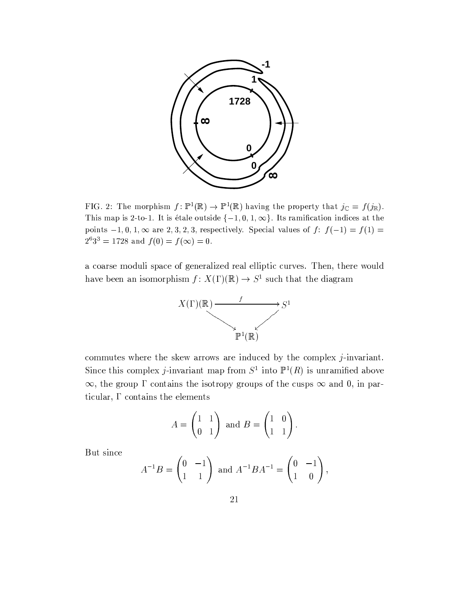

FIG. 2: The morphism  $f: \mathbb{P}^1(\mathbb{R}) \to \mathbb{P}^1(\mathbb{R})$  having the property that  $j_{\mathbb{C}} = f(j_{\mathbb{R}})$ . This map is 2-to-1. It is étale outside  $\{-1,0,1,\infty\}$ . Its ramification indices at the points  $-1, 0, 1, \infty$  are 2, 3, 2, 3, respectively. Special values of  $f: f(-1) = f(1) =$  $2^{6}3^{3} = 1728$  and  $f(0) = f(\infty) = 0$ .

a coarse moduli space of generalized real elliptic curves. Then, there would have been an isomorphism  $f: X(\Gamma)(\mathbb{R}) \to S^1$  such that the diagram



commutes where the skew arrows are induced by the complex  $j$ -invariant. Since this complex *j*-invariant map from  $S^1$  into  $\mathbb{P}^1(R)$  is unramified above  $\infty$ , the group  $\Gamma$  contains the isotropy groups of the cusps  $\infty$  and 0, in particular,  $\Gamma$  contains the elements

$$
A = \begin{pmatrix} 1 & 1 \\ 0 & 1 \end{pmatrix} \text{ and } B = \begin{pmatrix} 1 & 0 \\ 1 & 1 \end{pmatrix}.
$$

But since

$$
A^{-1}B = \begin{pmatrix} 0 & -1 \\ 1 & 1 \end{pmatrix} \text{ and } A^{-1}BA^{-1} = \begin{pmatrix} 0 & -1 \\ 1 & 0 \end{pmatrix},
$$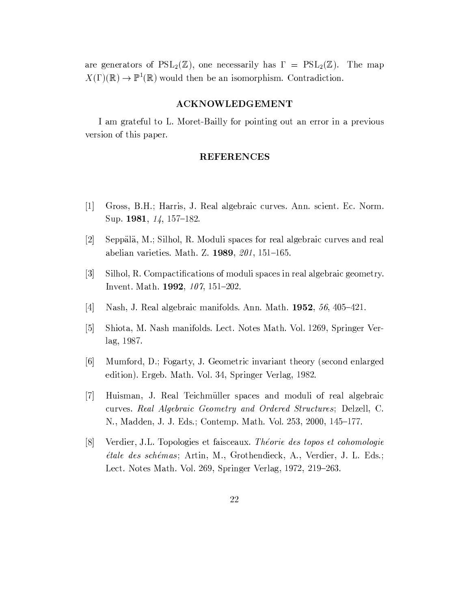are generators of  $PSL_2(\mathbb{Z})$ , one necessarily has  $\Gamma = PSL_2(\mathbb{Z})$ . The map  $X(\Gamma)(\mathbb{R}) \to \mathbb{P}^1(\mathbb{R})$  would then be an isomorphism. Contradiction.

### **ACKNOWLEDGEMENT**

I am grateful to L. Moret-Bailly for pointing out an error in a previous version of this paper.

### **REFERENCES**

- $\lceil 1 \rceil$ Gross, B.H.; Harris, J. Real algebraic curves. Ann. scient. Ec. Norm. Sup. 1981,  $14$ , 157-182.
- $\lfloor 2 \rfloor$ Seppälä, M.; Silhol, R. Moduli spaces for real algebraic curves and real abelian varieties. Math. Z. 1989, 201, 151-165.
- $\lceil 3 \rceil$ Silhol, R. Compactifications of moduli spaces in real algebraic geometry. Invent. Math. 1992,  $107$ ,  $151-202$ .
- $\lceil 4 \rceil$ Nash, J. Real algebraic manifolds. Ann. Math. 1952, 56, 405-421.
- $\lceil 5 \rceil$ Shiota, M. Nash manifolds. Lect. Notes Math. Vol. 1269, Springer Ver $lag, 1987.$
- $\lceil 6 \rceil$ Mumford, D.; Fogarty, J. Geometric invariant theory (second enlarged edition). Ergeb. Math. Vol. 34, Springer Verlag, 1982.
- Huisman, J. Real Teichmüller spaces and moduli of real algebraic  $|7|$ curves. Real Algebraic Geometry and Ordered Structures; Delzell, C. N., Madden, J. J. Eds.; Contemp. Math. Vol. 253, 2000, 145-177.
- Verdier, J.L. Topologies et faisceaux. Théorie des topos et cohomologie  $|8|$ étale des schémas; Artin, M., Grothendieck, A., Verdier, J. L. Eds.; Lect. Notes Math. Vol. 269, Springer Verlag, 1972, 219–263.